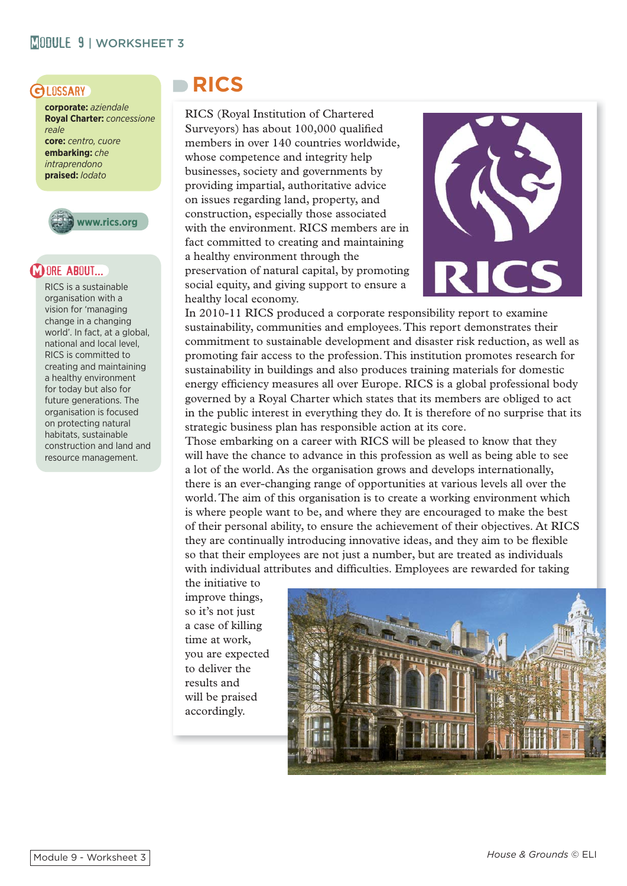## **GLOSSARY**

**corporate:** *aziendale* **Royal Charter:** *concessione reale* **core:** *centro, cuore* **embarking:** *che intraprendono* **praised:** *lodato*



## **DORE ABOUT...**

RICS is a sustainable organisation with a vision for 'managing change in a changing world'. In fact, at a global, national and local level, RICS is committed to creating and maintaining a healthy environment for today but also for future generations. The organisation is focused on protecting natural habitats, sustainable construction and land and resource management.

# **RICS**

RICS (Royal Institution of Chartered Surveyors) has about 100,000 qualified members in over 140 countries worldwide, whose competence and integrity help businesses, society and governments by providing impartial, authoritative advice on issues regarding land, property, and construction, especially those associated with the environment. RICS members are in fact committed to creating and maintaining a healthy environment through the preservation of natural capital, by promoting social equity, and giving support to ensure a healthy local economy.



In 2010-11 RICS produced a corporate responsibility report to examine sustainability, communities and employees. This report demonstrates their commitment to sustainable development and disaster risk reduction, as well as promoting fair access to the profession. This institution promotes research for sustainability in buildings and also produces training materials for domestic energy efficiency measures all over Europe. RICS is a global professional body governed by a Royal Charter which states that its members are obliged to act in the public interest in everything they do. It is therefore of no surprise that its strategic business plan has responsible action at its core.

Those embarking on a career with RICS will be pleased to know that they will have the chance to advance in this profession as well as being able to see a lot of the world. As the organisation grows and develops internationally, there is an ever-changing range of opportunities at various levels all over the world. The aim of this organisation is to create a working environment which is where people want to be, and where they are encouraged to make the best of their personal ability, to ensure the achievement of their objectives. At RICS they are continually introducing innovative ideas, and they aim to be flexible so that their employees are not just a number, but are treated as individuals with individual attributes and difficulties. Employees are rewarded for taking

the initiative to improve things, so it's not just a case of killing time at work, you are expected to deliver the results and will be praised accordingly.